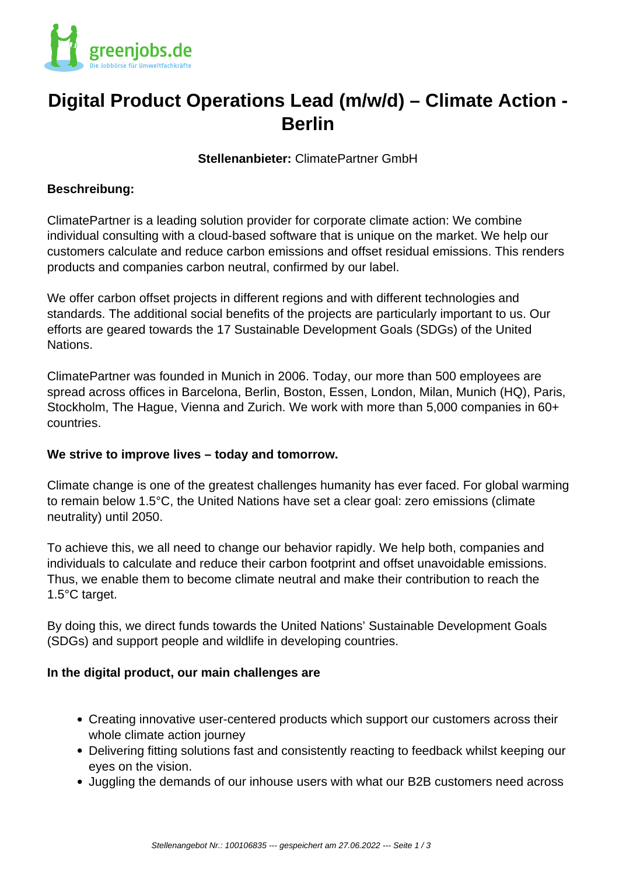

# **Digital Product Operations Lead (m/w/d) – Climate Action - Berlin**

**Stellenanbieter:** ClimatePartner GmbH

### **Beschreibung:**

ClimatePartner is a leading solution provider for corporate climate action: We combine individual consulting with a cloud-based software that is unique on the market. We help our customers calculate and reduce carbon emissions and offset residual emissions. This renders products and companies carbon neutral, confirmed by our label.

We offer carbon offset projects in different regions and with different technologies and standards. The additional social benefits of the projects are particularly important to us. Our efforts are geared towards the 17 Sustainable Development Goals (SDGs) of the United Nations.

ClimatePartner was founded in Munich in 2006. Today, our more than 500 employees are spread across offices in Barcelona, Berlin, Boston, Essen, London, Milan, Munich (HQ), Paris, Stockholm, The Hague, Vienna and Zurich. We work with more than 5,000 companies in 60+ countries.

### **We strive to improve lives – today and tomorrow.**

Climate change is one of the greatest challenges humanity has ever faced. For global warming to remain below 1.5°C, the United Nations have set a clear goal: zero emissions (climate neutrality) until 2050.

To achieve this, we all need to change our behavior rapidly. We help both, companies and individuals to calculate and reduce their carbon footprint and offset unavoidable emissions. Thus, we enable them to become climate neutral and make their contribution to reach the 1.5°C target.

By doing this, we direct funds towards the United Nations' Sustainable Development Goals (SDGs) and support people and wildlife in developing countries.

### **In the digital product, our main challenges are**

- Creating innovative user-centered products which support our customers across their whole climate action journey
- Delivering fitting solutions fast and consistently reacting to feedback whilst keeping our eyes on the vision.
- Juggling the demands of our inhouse users with what our B2B customers need across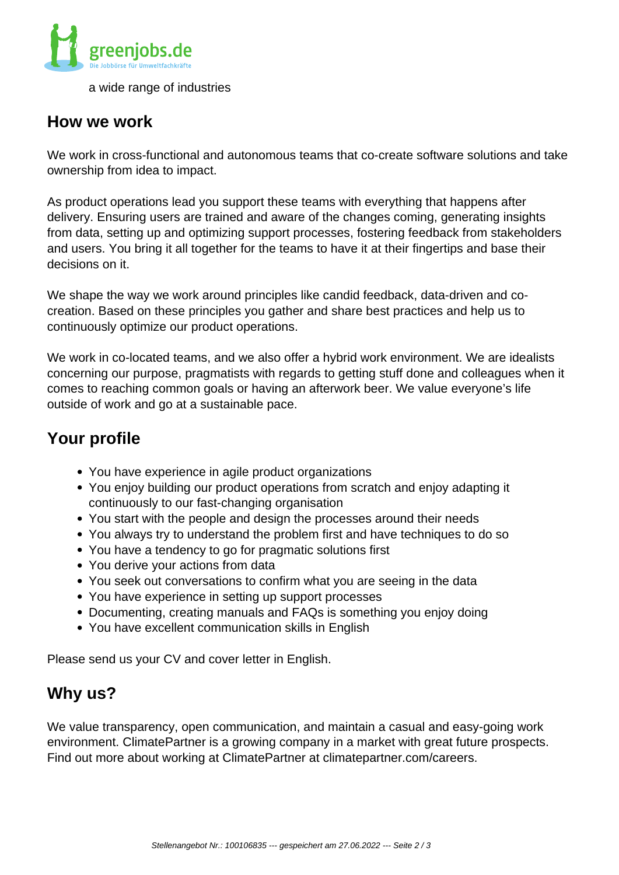

a wide range of industries

### **How we work**

We work in cross-functional and autonomous teams that co-create software solutions and take ownership from idea to impact.

As product operations lead you support these teams with everything that happens after delivery. Ensuring users are trained and aware of the changes coming, generating insights from data, setting up and optimizing support processes, fostering feedback from stakeholders and users. You bring it all together for the teams to have it at their fingertips and base their decisions on it.

We shape the way we work around principles like candid feedback, data-driven and cocreation. Based on these principles you gather and share best practices and help us to continuously optimize our product operations.

We work in co-located teams, and we also offer a hybrid work environment. We are idealists concerning our purpose, pragmatists with regards to getting stuff done and colleagues when it comes to reaching common goals or having an afterwork beer. We value everyone's life outside of work and go at a sustainable pace.

# **Your profile**

- You have experience in agile product organizations
- You enjoy building our product operations from scratch and enjoy adapting it continuously to our fast-changing organisation
- You start with the people and design the processes around their needs
- You always try to understand the problem first and have techniques to do so
- You have a tendency to go for pragmatic solutions first
- You derive your actions from data
- You seek out conversations to confirm what you are seeing in the data
- You have experience in setting up support processes
- Documenting, creating manuals and FAQs is something you enjoy doing
- You have excellent communication skills in English

Please send us your CV and cover letter in English.

## **Why us?**

We value transparency, open communication, and maintain a casual and easy-going work environment. ClimatePartner is a growing company in a market with great future prospects. Find out more about working at ClimatePartner at climatepartner.com/careers.